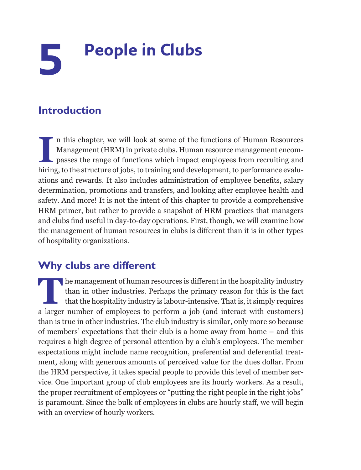# **5 People in Clubs**

# **Introduction**

II II this chapter, we will look at some of the functions of Human Resources Management (HRM) in private clubs. Human resource management encompasses the range of functions which impact employees from recruiting and hiring n this chapter, we will look at some of the functions of Human Resources Management (HRM) in private clubs. Human resource management encompasses the range of functions which impact employees from recruiting and ations and rewards. It also includes administration of employee benefits, salary determination, promotions and transfers, and looking after employee health and safety. And more! It is not the intent of this chapter to provide a comprehensive HRM primer, but rather to provide a snapshot of HRM practices that managers and clubs find useful in day-to-day operations. First, though, we will examine how the management of human resources in clubs is different than it is in other types of hospitality organizations.

# **Why clubs are different**

The management of human resources is different in the hospitality industry<br>than in other industries. Perhaps the primary reason for this is the fact<br>that the hospitality industry is labour-intensive. That is, it simply req than in other industries. Perhaps the primary reason for this is the fact that the hospitality industry is labour-intensive. That is, it simply requires a larger number of employees to perform a job (and interact with customers) than is true in other industries. The club industry is similar, only more so because of members' expectations that their club is a home away from home – and this requires a high degree of personal attention by a club's employees. The member expectations might include name recognition, preferential and deferential treatment, along with generous amounts of perceived value for the dues dollar. From the HRM perspective, it takes special people to provide this level of member service. One important group of club employees are its hourly workers. As a result, the proper recruitment of employees or "putting the right people in the right jobs" is paramount. Since the bulk of employees in clubs are hourly staff, we will begin with an overview of hourly workers.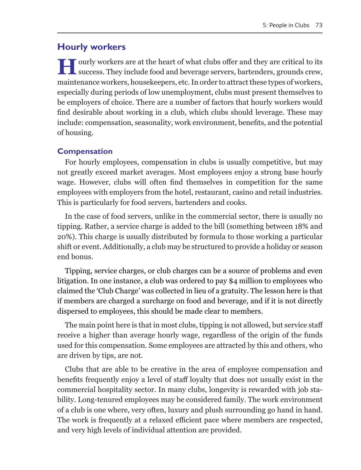# **Hourly workers**

**H**ourly workers are at the heart of what clubs offer and they are critical to its success. They include food and beverage servers, bartenders, grounds crew, maintenance workers, housekeepers, etc. In order to attract these types of workers, especially during periods of low unemployment, clubs must present themselves to be employers of choice. There are a number of factors that hourly workers would find desirable about working in a club, which clubs should leverage. These may include: compensation, seasonality, work environment, benefits, and the potential of housing.

## **Compensation**

For hourly employees, compensation in clubs is usually competitive, but may not greatly exceed market averages. Most employees enjoy a strong base hourly wage. However, clubs will often find themselves in competition for the same employees with employers from the hotel, restaurant, casino and retail industries. This is particularly for food servers, bartenders and cooks.

In the case of food servers, unlike in the commercial sector, there is usually no tipping. Rather, a service charge is added to the bill (something between 18% and 20%). This charge is usually distributed by formula to those working a particular shift or event. Additionally, a club may be structured to provide a holiday or season end bonus.

Tipping, service charges, or club charges can be a source of problems and even litigation. In one instance, a club was ordered to pay \$4 million to employees who claimed the 'Club Charge' was collected in lieu of a gratuity. The lesson here is that if members are charged a surcharge on food and beverage, and if it is not directly dispersed to employees, this should be made clear to members.

The main point here is that in most clubs, tipping is not allowed, but service staff receive a higher than average hourly wage, regardless of the origin of the funds used for this compensation. Some employees are attracted by this and others, who are driven by tips, are not.

Clubs that are able to be creative in the area of employee compensation and benefits frequently enjoy a level of staff loyalty that does not usually exist in the commercial hospitality sector. In many clubs, longevity is rewarded with job stability. Long-tenured employees may be considered family. The work environment of a club is one where, very often, luxury and plush surrounding go hand in hand. The work is frequently at a relaxed efficient pace where members are respected, and very high levels of individual attention are provided.